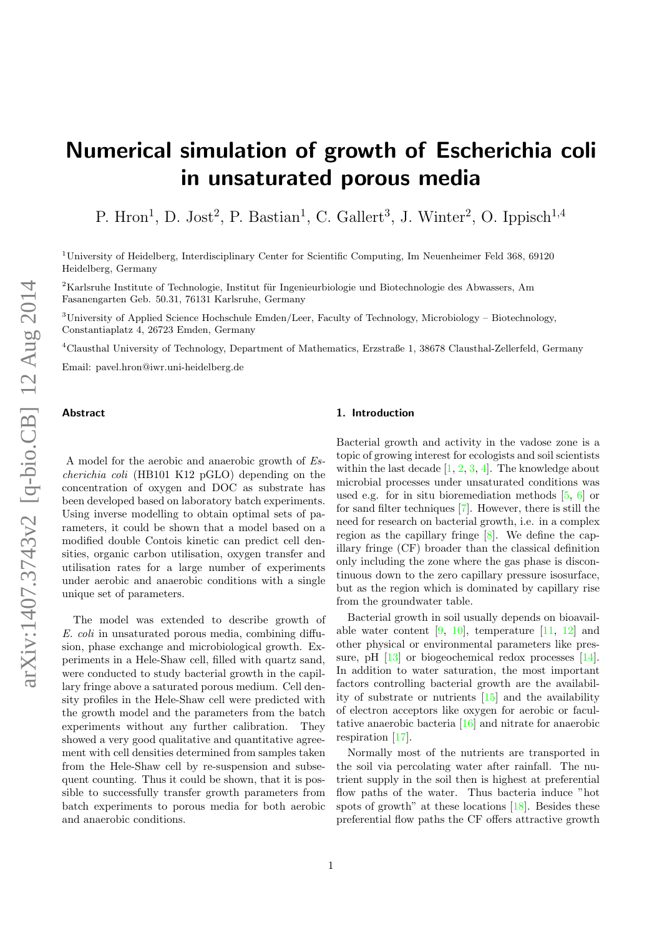# Numerical simulation of growth of Escherichia coli in unsaturated porous media

P. Hron<sup>1</sup>, D. Jost<sup>2</sup>, P. Bastian<sup>1</sup>, C. Gallert<sup>3</sup>, J. Winter<sup>2</sup>, O. Ippisch<sup>1,4</sup>

<sup>1</sup>University of Heidelberg, Interdisciplinary Center for Scientific Computing, Im Neuenheimer Feld 368, 69120 Heidelberg, Germany

 $2$ Karlsruhe Institute of Technologie, Institut für Ingenieurbiologie und Biotechnologie des Abwassers, Am Fasanengarten Geb. 50.31, 76131 Karlsruhe, Germany

<sup>3</sup>University of Applied Science Hochschule Emden/Leer, Faculty of Technology, Microbiology – Biotechnology, Constantiaplatz 4, 26723 Emden, Germany

<sup>4</sup>Clausthal University of Technology, Department of Mathematics, Erzstraße 1, 38678 Clausthal-Zellerfeld, Germany

Email: pavel.hron@iwr.uni-heidelberg.de

# Abstract

#### 1. Introduction

A model for the aerobic and anaerobic growth of Escherichia coli (HB101 K12 pGLO) depending on the concentration of oxygen and DOC as substrate has been developed based on laboratory batch experiments. Using inverse modelling to obtain optimal sets of parameters, it could be shown that a model based on a modified double Contois kinetic can predict cell densities, organic carbon utilisation, oxygen transfer and utilisation rates for a large number of experiments under aerobic and anaerobic conditions with a single unique set of parameters.

The model was extended to describe growth of E. coli in unsaturated porous media, combining diffusion, phase exchange and microbiological growth. Experiments in a Hele-Shaw cell, filled with quartz sand, were conducted to study bacterial growth in the capillary fringe above a saturated porous medium. Cell density profiles in the Hele-Shaw cell were predicted with the growth model and the parameters from the batch experiments without any further calibration. They showed a very good qualitative and quantitative agreement with cell densities determined from samples taken from the Hele-Shaw cell by re-suspension and subsequent counting. Thus it could be shown, that it is possible to successfully transfer growth parameters from batch experiments to porous media for both aerobic and anaerobic conditions.

Bacterial growth and activity in the vadose zone is a topic of growing interest for ecologists and soil scientists within the last decade  $[1, 2, 3, 4]$  $[1, 2, 3, 4]$  $[1, 2, 3, 4]$  $[1, 2, 3, 4]$  $[1, 2, 3, 4]$  $[1, 2, 3, 4]$  $[1, 2, 3, 4]$ . The knowledge about microbial processes under unsaturated conditions was used e.g. for in situ bioremediation methods [\[5,](#page-10-4) [6\]](#page-10-5) or for sand filter techniques [\[7\]](#page-10-6). However, there is still the need for research on bacterial growth, i.e. in a complex region as the capillary fringe [\[8\]](#page-10-7). We define the capillary fringe (CF) broader than the classical definition only including the zone where the gas phase is discontinuous down to the zero capillary pressure isosurface, but as the region which is dominated by capillary rise from the groundwater table.

Bacterial growth in soil usually depends on bioavailable water content  $[9, 10]$  $[9, 10]$  $[9, 10]$ , temperature  $[11, 12]$  $[11, 12]$  $[11, 12]$  and other physical or environmental parameters like pres-sure, pH [\[13\]](#page-11-2) or biogeochemical redox processes [\[14\]](#page-11-3). In addition to water saturation, the most important factors controlling bacterial growth are the availability of substrate or nutrients [\[15\]](#page-11-4) and the availability of electron acceptors like oxygen for aerobic or facultative anaerobic bacteria [\[16\]](#page-11-5) and nitrate for anaerobic respiration [\[17\]](#page-11-6).

Normally most of the nutrients are transported in the soil via percolating water after rainfall. The nutrient supply in the soil then is highest at preferential flow paths of the water. Thus bacteria induce "hot spots of growth" at these locations  $[18]$ . Besides these preferential flow paths the CF offers attractive growth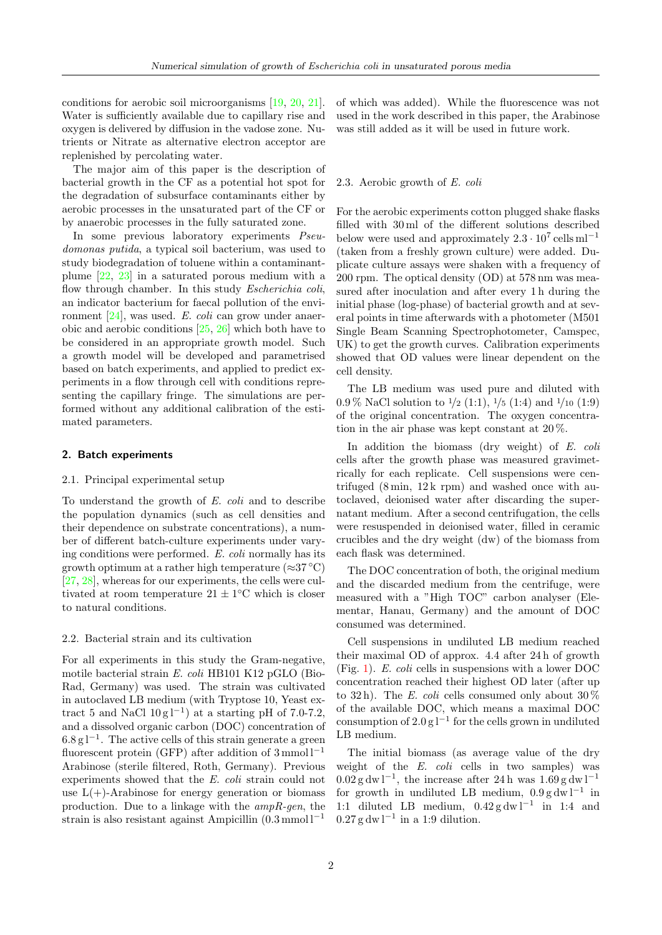conditions for aerobic soil microorganisms [\[19,](#page-11-8) [20,](#page-11-9) [21\]](#page-11-10). Water is sufficiently available due to capillary rise and oxygen is delivered by diffusion in the vadose zone. Nutrients or Nitrate as alternative electron acceptor are replenished by percolating water.

The major aim of this paper is the description of bacterial growth in the CF as a potential hot spot for the degradation of subsurface contaminants either by aerobic processes in the unsaturated part of the CF or by anaerobic processes in the fully saturated zone.

In some previous laboratory experiments Pseudomonas putida, a typical soil bacterium, was used to study biodegradation of toluene within a contaminantplume [\[22,](#page-11-11) [23\]](#page-11-12) in a saturated porous medium with a flow through chamber. In this study *Escherichia coli*, an indicator bacterium for faecal pollution of the environment [\[24\]](#page-11-13), was used. E. coli can grow under anaerobic and aerobic conditions [\[25,](#page-11-14) [26\]](#page-11-15) which both have to be considered in an appropriate growth model. Such a growth model will be developed and parametrised based on batch experiments, and applied to predict experiments in a flow through cell with conditions representing the capillary fringe. The simulations are performed without any additional calibration of the estimated parameters.

#### 2. Batch experiments

#### 2.1. Principal experimental setup

To understand the growth of E. coli and to describe the population dynamics (such as cell densities and their dependence on substrate concentrations), a number of different batch-culture experiments under varying conditions were performed. E. coli normally has its growth optimum at a rather high temperature ( $\approx 37 \degree C$ ) [\[27,](#page-11-16) [28\]](#page-11-17), whereas for our experiments, the cells were cultivated at room temperature  $21 \pm 1$ °C which is closer to natural conditions.

# 2.2. Bacterial strain and its cultivation

For all experiments in this study the Gram-negative, motile bacterial strain E. coli HB101 K12 pGLO (Bio-Rad, Germany) was used. The strain was cultivated in autoclaved LB medium (with Tryptose 10, Yeast extract 5 and NaCl  $10 \text{ g l}^{-1}$  at a starting pH of 7.0-7.2, and a dissolved organic carbon (DOC) concentration of  $6.8 g l^{-1}$ . The active cells of this strain generate a green fluorescent protein (GFP) after addition of  $3 \text{ mmol } 1^{-1}$ Arabinose (sterile filtered, Roth, Germany). Previous experiments showed that the E. coli strain could not use  $L(+)$ -Arabinose for energy generation or biomass production. Due to a linkage with the ampR-gen, the strain is also resistant against Ampicillin  $(0.3 \text{ mmol} 1^{-1})$ 

of which was added). While the fluorescence was not used in the work described in this paper, the Arabinose was still added as it will be used in future work.

#### 2.3. Aerobic growth of E. coli

For the aerobic experiments cotton plugged shake flasks filled with 30 ml of the different solutions described below were used and approximately  $2.3 \cdot 10^7$  cells ml<sup>-1</sup> (taken from a freshly grown culture) were added. Duplicate culture assays were shaken with a frequency of 200 rpm. The optical density (OD) at 578 nm was measured after inoculation and after every 1 h during the initial phase (log-phase) of bacterial growth and at several points in time afterwards with a photometer (M501 Single Beam Scanning Spectrophotometer, Camspec, UK) to get the growth curves. Calibration experiments showed that OD values were linear dependent on the cell density.

The LB medium was used pure and diluted with  $0.9\%$  NaCl solution to  $\frac{1}{2}$  (1:1),  $\frac{1}{5}$  (1:4) and  $\frac{1}{10}$  (1:9) of the original concentration. The oxygen concentration in the air phase was kept constant at 20 %.

In addition the biomass (dry weight) of E. coli cells after the growth phase was measured gravimetrically for each replicate. Cell suspensions were centrifuged  $(8 \text{ min}, 12 \text{ k rpm})$  and washed once with autoclaved, deionised water after discarding the supernatant medium. After a second centrifugation, the cells were resuspended in deionised water, filled in ceramic crucibles and the dry weight (dw) of the biomass from each flask was determined.

The DOC concentration of both, the original medium and the discarded medium from the centrifuge, were measured with a "High TOC" carbon analyser (Elementar, Hanau, Germany) and the amount of DOC consumed was determined.

Cell suspensions in undiluted LB medium reached their maximal OD of approx. 4.4 after 24 h of growth (Fig. [1\)](#page-5-0). E. coli cells in suspensions with a lower DOC concentration reached their highest OD later (after up to 32 h). The E. coli cells consumed only about  $30\%$ of the available DOC, which means a maximal DOC consumption of  $2.0 g l^{-1}$  for the cells grown in undiluted LB medium.

The initial biomass (as average value of the dry weight of the E. coli cells in two samples) was  $0.02 \text{ g} \text{ dw } l^{-1}$ , the increase after 24 h was  $1.69 \text{ g} \text{ dw } l^{-1}$ for growth in undiluted LB medium,  $0.9 g dw l^{-1}$  in 1:1 diluted LB medium,  $0.42 \text{ g} \text{ dw} \text{ } l^{-1}$  in 1:4 and  $0.27$  g dw l<sup>-1</sup> in a 1:9 dilution.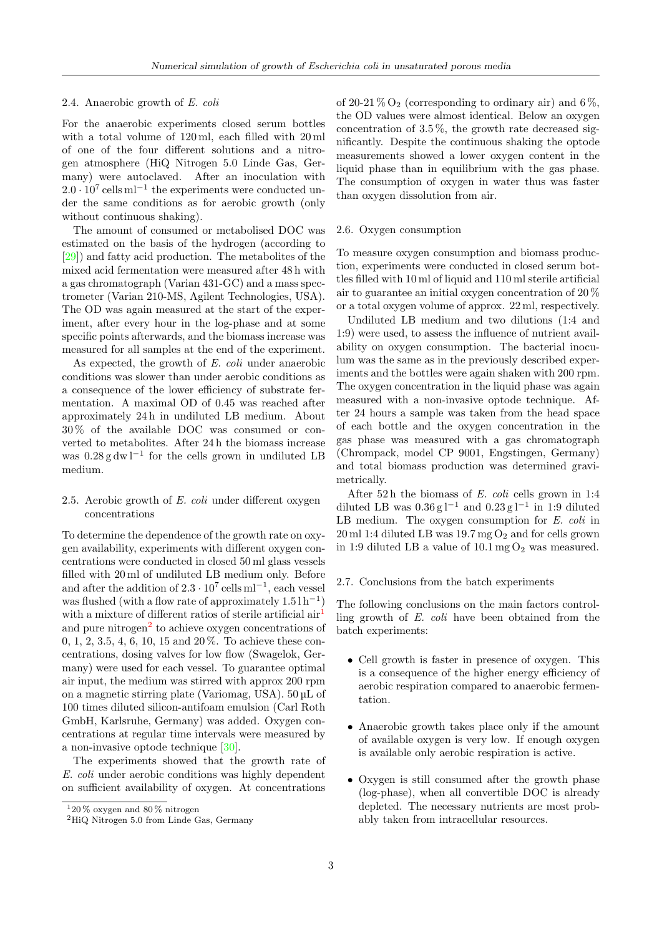# 2.4. Anaerobic growth of E. coli

For the anaerobic experiments closed serum bottles with a total volume of 120 ml, each filled with 20 ml of one of the four different solutions and a nitrogen atmosphere (HiQ Nitrogen 5.0 Linde Gas, Germany) were autoclaved. After an inoculation with  $2.0 \cdot 10^7$  cells ml<sup>-1</sup> the experiments were conducted under the same conditions as for aerobic growth (only without continuous shaking).

The amount of consumed or metabolised DOC was estimated on the basis of the hydrogen (according to [\[29\]](#page-11-18)) and fatty acid production. The metabolites of the mixed acid fermentation were measured after 48 h with a gas chromatograph (Varian 431-GC) and a mass spectrometer (Varian 210-MS, Agilent Technologies, USA). The OD was again measured at the start of the experiment, after every hour in the log-phase and at some specific points afterwards, and the biomass increase was measured for all samples at the end of the experiment.

As expected, the growth of E. coli under anaerobic conditions was slower than under aerobic conditions as a consequence of the lower efficiency of substrate fermentation. A maximal OD of 0.45 was reached after approximately 24 h in undiluted LB medium. About 30 % of the available DOC was consumed or converted to metabolites. After 24 h the biomass increase was  $0.28 \text{ g} \text{ dw}$ <sup>1-1</sup> for the cells grown in undiluted LB medium.

# <span id="page-2-2"></span>2.5. Aerobic growth of E. coli under different oxygen concentrations

To determine the dependence of the growth rate on oxygen availability, experiments with different oxygen concentrations were conducted in closed 50 ml glass vessels filled with 20 ml of undiluted LB medium only. Before and after the addition of  $2.3 \cdot 10^7$  cells m $l^{-1}$ , each vessel was flushed (with a flow rate of approximately  $1.51 h^{-1}$ ) with a mixture of different ratios of sterile artificial  $\arctan \frac{1}{2}$  $\arctan \frac{1}{2}$  $\arctan \frac{1}{2}$ and pure nitrogen<sup>[2](#page-2-1)</sup> to achieve oxygen concentrations of 0, 1, 2, 3.5, 4, 6, 10, 15 and 20 %. To achieve these concentrations, dosing valves for low flow (Swagelok, Germany) were used for each vessel. To guarantee optimal air input, the medium was stirred with approx 200 rpm on a magnetic stirring plate (Variomag, USA). 50 µL of 100 times diluted silicon-antifoam emulsion (Carl Roth GmbH, Karlsruhe, Germany) was added. Oxygen concentrations at regular time intervals were measured by a non-invasive optode technique [\[30\]](#page-12-0).

The experiments showed that the growth rate of E. coli under aerobic conditions was highly dependent on sufficient availability of oxygen. At concentrations

of 20-21 %  $O_2$  (corresponding to ordinary air) and 6 %, the OD values were almost identical. Below an oxygen concentration of  $3.5\%$ , the growth rate decreased significantly. Despite the continuous shaking the optode measurements showed a lower oxygen content in the liquid phase than in equilibrium with the gas phase. The consumption of oxygen in water thus was faster than oxygen dissolution from air.

# 2.6. Oxygen consumption

To measure oxygen consumption and biomass production, experiments were conducted in closed serum bottles filled with 10 ml of liquid and 110 ml sterile artificial air to guarantee an initial oxygen concentration of 20 % or a total oxygen volume of approx. 22 ml, respectively.

Undiluted LB medium and two dilutions (1:4 and 1:9) were used, to assess the influence of nutrient availability on oxygen consumption. The bacterial inoculum was the same as in the previously described experiments and the bottles were again shaken with 200 rpm. The oxygen concentration in the liquid phase was again measured with a non-invasive optode technique. After 24 hours a sample was taken from the head space of each bottle and the oxygen concentration in the gas phase was measured with a gas chromatograph (Chrompack, model CP 9001, Engstingen, Germany) and total biomass production was determined gravimetrically.

After 52 h the biomass of E. coli cells grown in 1:4 diluted LB was  $0.36 \text{ g} \cdot 1^{-1}$  and  $0.23 \text{ g} \cdot 1^{-1}$  in 1:9 diluted LB medium. The oxygen consumption for E. coli in  $20 \,\mathrm{ml}$  1:4 diluted LB was 19.7 mg  $O_2$  and for cells grown in 1:9 diluted LB a value of  $10.1 \,\mathrm{mg}\,\mathrm{O}_2$  was measured.

# 2.7. Conclusions from the batch experiments

The following conclusions on the main factors controlling growth of E. coli have been obtained from the batch experiments:

- Cell growth is faster in presence of oxygen. This is a consequence of the higher energy efficiency of aerobic respiration compared to anaerobic fermentation.
- Anaerobic growth takes place only if the amount of available oxygen is very low. If enough oxygen is available only aerobic respiration is active.
- Oxygen is still consumed after the growth phase (log-phase), when all convertible DOC is already depleted. The necessary nutrients are most probably taken from intracellular resources.

<span id="page-2-0"></span> $^120\,\%$ oxygen and  $80\,\%$ nitrogen

<span id="page-2-1"></span><sup>&</sup>lt;sup>2</sup>HiQ Nitrogen 5.0 from Linde Gas, Germany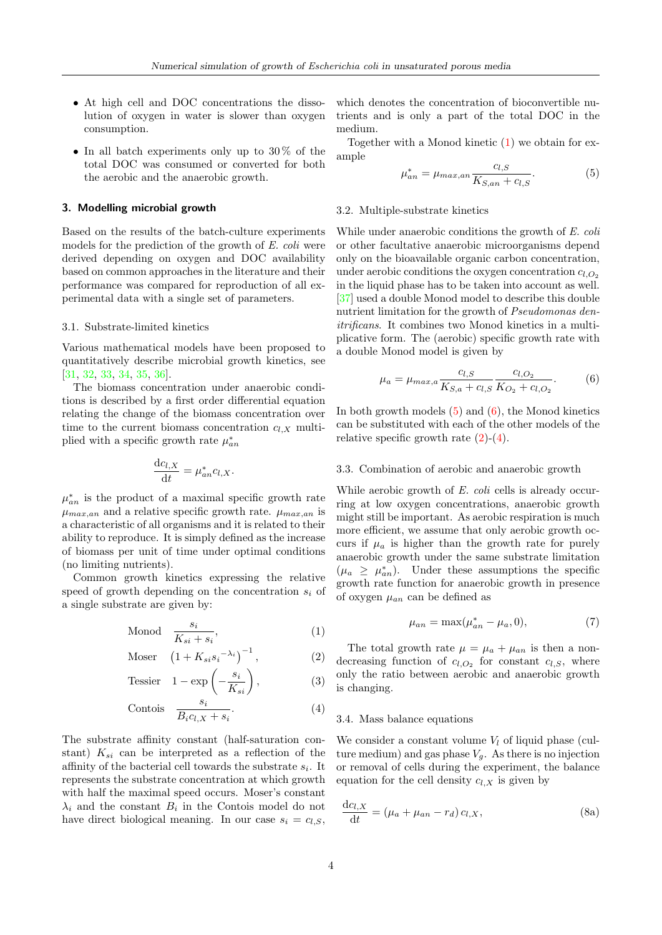- At high cell and DOC concentrations the dissolution of oxygen in water is slower than oxygen consumption.
- In all batch experiments only up to  $30\%$  of the total DOC was consumed or converted for both the aerobic and the anaerobic growth.

#### 3. Modelling microbial growth

Based on the results of the batch-culture experiments models for the prediction of the growth of E. coli were derived depending on oxygen and DOC availability based on common approaches in the literature and their performance was compared for reproduction of all experimental data with a single set of parameters.

### 3.1. Substrate-limited kinetics

Various mathematical models have been proposed to quantitatively describe microbial growth kinetics, see [\[31,](#page-12-1) [32,](#page-12-2) [33,](#page-12-3) [34,](#page-12-4) [35,](#page-12-5) [36\]](#page-12-6).

The biomass concentration under anaerobic conditions is described by a first order differential equation relating the change of the biomass concentration over time to the current biomass concentration  $c_{l,X}$  multiplied with a specific growth rate  $\mu_{an}^*$ 

$$
\frac{\mathrm{d}c_{l,X}}{\mathrm{d}t} = \mu_{an}^* c_{l,X}.
$$

 $\mu^*_{an}$  is the product of a maximal specific growth rate  $\mu_{max,an}$  and a relative specific growth rate.  $\mu_{max,an}$  is a characteristic of all organisms and it is related to their ability to reproduce. It is simply defined as the increase of biomass per unit of time under optimal conditions (no limiting nutrients).

Common growth kinetics expressing the relative speed of growth depending on the concentration  $s_i$  of a single substrate are given by:

$$
\text{Monod} \quad \frac{s_i}{K_{si} + s_i},\tag{1}
$$

$$
\text{Moser} \quad \left(1 + K_{si} s_i^{-\lambda_i}\right)^{-1},\tag{2}
$$

$$
\text{Tessier} \quad 1 - \exp\left(-\frac{s_i}{K_{si}}\right),\tag{3}
$$

$$
Contois \t \frac{s_i}{B_i c_{l,X} + s_i}.
$$
\n<sup>(4)</sup>

The substrate affinity constant (half-saturation constant)  $K_{si}$  can be interpreted as a reflection of the affinity of the bacterial cell towards the substrate  $s_i$ . It represents the substrate concentration at which growth with half the maximal speed occurs. Moser's constant  $\lambda_i$  and the constant  $B_i$  in the Contois model do not have direct biological meaning. In our case  $s_i = c_{i,S}$ , which denotes the concentration of bioconvertible nutrients and is only a part of the total DOC in the medium.

Together with a Monod kinetic [\(1\)](#page-3-0) we obtain for example

<span id="page-3-1"></span>
$$
\mu_{an}^* = \mu_{max,an} \frac{c_{l,S}}{K_{S,an} + c_{l,S}}.\tag{5}
$$

# 3.2. Multiple-substrate kinetics

While under anaerobic conditions the growth of E. coli or other facultative anaerobic microorganisms depend only on the bioavailable organic carbon concentration, under aerobic conditions the oxygen concentration  $c_{l,O_2}$ in the liquid phase has to be taken into account as well. [\[37\]](#page-12-7) used a double Monod model to describe this double nutrient limitation for the growth of Pseudomonas denitrificans. It combines two Monod kinetics in a multiplicative form. The (aerobic) specific growth rate with a double Monod model is given by

<span id="page-3-2"></span>
$$
\mu_a = \mu_{max,a} \frac{c_{l,S}}{K_{S,a} + c_{l,S}} \frac{c_{l,O_2}}{K_{O_2} + c_{l,O_2}}.
$$
(6)

In both growth models [\(5\)](#page-3-1) and [\(6\)](#page-3-2), the Monod kinetics can be substituted with each of the other models of the relative specific growth rate  $(2)-(4)$  $(2)-(4)$  $(2)-(4)$ .

#### 3.3. Combination of aerobic and anaerobic growth

While aerobic growth of E. coli cells is already occurring at low oxygen concentrations, anaerobic growth might still be important. As aerobic respiration is much more efficient, we assume that only aerobic growth occurs if  $\mu_a$  is higher than the growth rate for purely anaerobic growth under the same substrate limitation  $(\mu_a \geq \mu_{an}^*)$ . Under these assumptions the specific growth rate function for anaerobic growth in presence of oxygen  $\mu_{an}$  can be defined as

$$
\mu_{an} = \max(\mu_{an}^* - \mu_a, 0),\tag{7}
$$

<span id="page-3-3"></span><span id="page-3-0"></span>The total growth rate  $\mu = \mu_a + \mu_{an}$  is then a nondecreasing function of  $c_{l,O_2}$  for constant  $c_{l,S}$ , where only the ratio between aerobic and anaerobic growth is changing.

#### <span id="page-3-4"></span>3.4. Mass balance equations

We consider a constant volume  $V_l$  of liquid phase (culture medium) and gas phase  $V_g$ . As there is no injection or removal of cells during the experiment, the balance equation for the cell density  $c_{l,X}$  is given by

$$
\frac{\mathrm{d}c_{l,X}}{\mathrm{d}t} = (\mu_a + \mu_{an} - r_d) c_{l,X},\tag{8a}
$$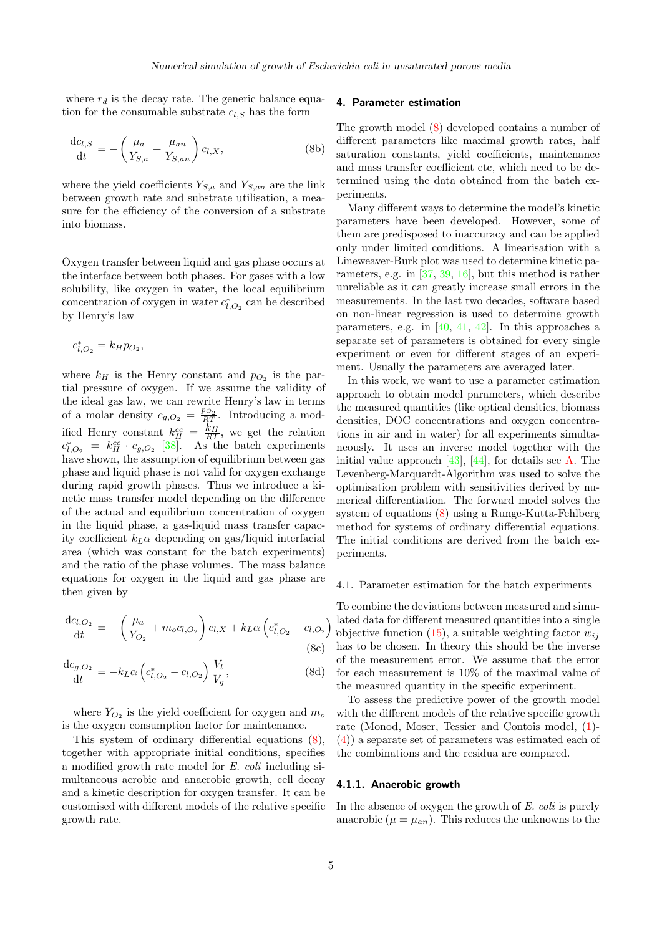where  $r_d$  is the decay rate. The generic balance equation for the consumable substrate  $c_{l,S}$  has the form

$$
\frac{\mathrm{d}c_{l,S}}{\mathrm{d}t} = -\left(\frac{\mu_a}{Y_{S,a}} + \frac{\mu_{an}}{Y_{S,an}}\right)c_{l,X},\tag{8b}
$$

where the yield coefficients  $Y_{S,a}$  and  $Y_{S,an}$  are the link between growth rate and substrate utilisation, a measure for the efficiency of the conversion of a substrate into biomass.

Oxygen transfer between liquid and gas phase occurs at the interface between both phases. For gases with a low solubility, like oxygen in water, the local equilibrium concentration of oxygen in water  $c_{l,O_2}^*$  can be described by Henry's law

$$
c_{l,O_2}^* = k_H p_{O_2},
$$

where  $k_H$  is the Henry constant and  $p_{O_2}$  is the partial pressure of oxygen. If we assume the validity of the ideal gas law, we can rewrite Henry's law in terms of a molar density  $c_{g,O_2} = \frac{p_{O_2}}{RT}$ . Introducing a modified Henry constant  $k_H^{cc} = \frac{k_H}{RT}$ , we get the relation  $c_{l,O_2}^* = k_H^{cc} \cdot c_{g,O_2}$  [\[38\]](#page-12-8). As the batch experiments have shown, the assumption of equilibrium between gas phase and liquid phase is not valid for oxygen exchange during rapid growth phases. Thus we introduce a kinetic mass transfer model depending on the difference of the actual and equilibrium concentration of oxygen in the liquid phase, a gas-liquid mass transfer capacity coefficient  $k_L \alpha$  depending on gas/liquid interfacial area (which was constant for the batch experiments) and the ratio of the phase volumes. The mass balance equations for oxygen in the liquid and gas phase are then given by

$$
\frac{dc_{l,O_2}}{dt} = -\left(\frac{\mu_a}{Y_{O_2}} + m_o c_{l,O_2}\right) c_{l,X} + k_L \alpha \left(c_{l,O_2}^* - c_{l,O_2}\right)
$$
\n(8c)

$$
\frac{dc_{g,O_2}}{dt} = -k_L \alpha \left( c_{l,O_2}^* - c_{l,O_2} \right) \frac{V_l}{V_g},
$$
\n(8d)

where  $Y_{O_2}$  is the yield coefficient for oxygen and  $m_o$ is the oxygen consumption factor for maintenance.

This system of ordinary differential equations [\(8\)](#page-4-0), together with appropriate initial conditions, specifies a modified growth rate model for E. coli including simultaneous aerobic and anaerobic growth, cell decay and a kinetic description for oxygen transfer. It can be customised with different models of the relative specific growth rate.

# 4. Parameter estimation

The growth model [\(8\)](#page-4-0) developed contains a number of different parameters like maximal growth rates, half saturation constants, yield coefficients, maintenance and mass transfer coefficient etc, which need to be determined using the data obtained from the batch experiments.

Many different ways to determine the model's kinetic parameters have been developed. However, some of them are predisposed to inaccuracy and can be applied only under limited conditions. A linearisation with a Lineweaver-Burk plot was used to determine kinetic parameters, e.g. in [\[37,](#page-12-7) [39,](#page-12-9) [16\]](#page-11-5), but this method is rather unreliable as it can greatly increase small errors in the measurements. In the last two decades, software based on non-linear regression is used to determine growth parameters, e.g. in [\[40,](#page-12-10) [41,](#page-12-11) [42\]](#page-12-12). In this approaches a separate set of parameters is obtained for every single experiment or even for different stages of an experiment. Usually the parameters are averaged later.

In this work, we want to use a parameter estimation approach to obtain model parameters, which describe the measured quantities (like optical densities, biomass densities, DOC concentrations and oxygen concentrations in air and in water) for all experiments simultaneously. It uses an inverse model together with the initial value approach  $[43]$ ,  $[44]$ , for details see [A.](#page-10-10) The Levenberg-Marquardt-Algorithm was used to solve the optimisation problem with sensitivities derived by numerical differentiation. The forward model solves the system of equations [\(8\)](#page-4-0) using a Runge-Kutta-Fehlberg method for systems of ordinary differential equations. The initial conditions are derived from the batch experiments.

#### 4.1. Parameter estimation for the batch experiments

rated data for different inclusion of qualitatives the a single volgetive function  $(15)$ , a suitable weighting factor  $w_{ij}$ To combine the deviations between measured and simulated data for different measured quantities into a single has to be chosen. In theory this should be the inverse of the measurement error. We assume that the error for each measurement is 10% of the maximal value of the measured quantity in the specific experiment.

<span id="page-4-0"></span>To assess the predictive power of the growth model with the different models of the relative specific growth rate (Monod, Moser, Tessier and Contois model, [\(1\)](#page-3-0)- [\(4\)](#page-3-4)) a separate set of parameters was estimated each of the combinations and the residua are compared.

# 4.1.1. Anaerobic growth

In the absence of oxygen the growth of E. coli is purely anaerobic  $(\mu = \mu_{an})$ . This reduces the unknowns to the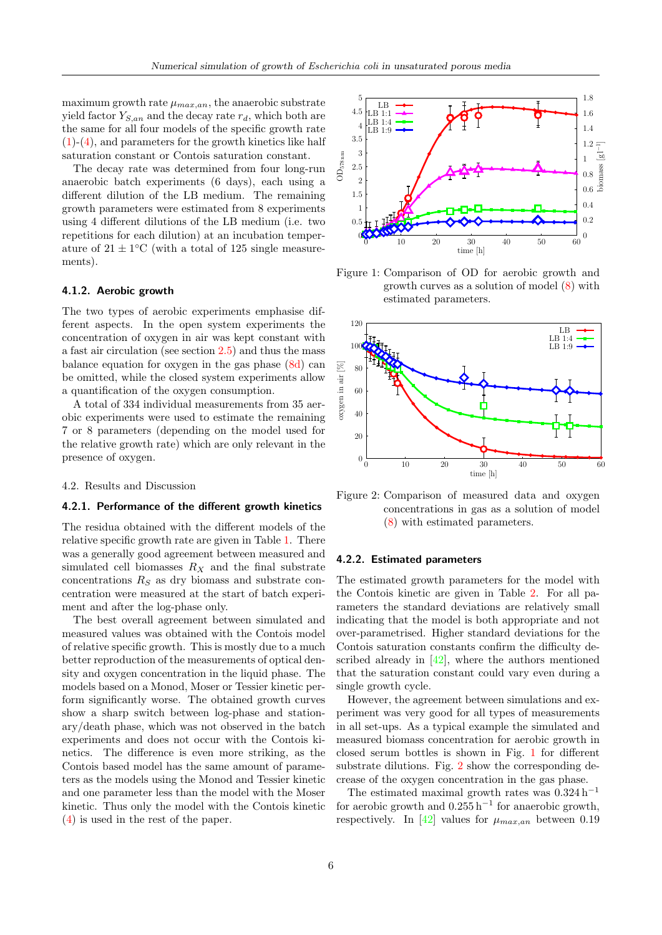maximum growth rate  $\mu_{max,an}$ , the anaerobic substrate yield factor  $Y_{S,an}$  and the decay rate  $r_d$ , which both are the same for all four models of the specific growth rate [\(1\)](#page-3-0)-[\(4\)](#page-3-4), and parameters for the growth kinetics like half saturation constant or Contois saturation constant.

The decay rate was determined from four long-run anaerobic batch experiments (6 days), each using a different dilution of the LB medium. The remaining growth parameters were estimated from 8 experiments using 4 different dilutions of the LB medium (i.e. two repetitions for each dilution) at an incubation temperature of  $21 \pm 1$ <sup>o</sup>C (with a total of 125 single measurements).

# 4.1.2. Aerobic growth

The two types of aerobic experiments emphasise different aspects. In the open system experiments the concentration of oxygen in air was kept constant with a fast air circulation (see section [2.5\)](#page-2-2) and thus the mass balance equation for oxygen in the gas phase [\(8d\)](#page-4-0) can be omitted, while the closed system experiments allow a quantification of the oxygen consumption.

A total of 334 individual measurements from 35 aerobic experiments were used to estimate the remaining 7 or 8 parameters (depending on the model used for the relative growth rate) which are only relevant in the presence of oxygen.

#### 4.2. Results and Discussion

# 4.2.1. Performance of the different growth kinetics

The residua obtained with the different models of the relative specific growth rate are given in Table [1.](#page-6-0) There was a generally good agreement between measured and simulated cell biomasses  $R_X$  and the final substrate concentrations  $R_S$  as dry biomass and substrate concentration were measured at the start of batch experiment and after the log-phase only.

The best overall agreement between simulated and measured values was obtained with the Contois model of relative specific growth. This is mostly due to a much better reproduction of the measurements of optical density and oxygen concentration in the liquid phase. The models based on a Monod, Moser or Tessier kinetic perform significantly worse. The obtained growth curves show a sharp switch between log-phase and stationary/death phase, which was not observed in the batch experiments and does not occur with the Contois kinetics. The difference is even more striking, as the Contois based model has the same amount of parameters as the models using the Monod and Tessier kinetic and one parameter less than the model with the Moser kinetic. Thus only the model with the Contois kinetic [\(4\)](#page-3-4) is used in the rest of the paper.

<span id="page-5-0"></span>

Figure 1: Comparison of OD for aerobic growth and growth curves as a solution of model [\(8\)](#page-4-0) with estimated parameters.

<span id="page-5-1"></span>

Figure 2: Comparison of measured data and oxygen concentrations in gas as a solution of model [\(8\)](#page-4-0) with estimated parameters.

#### 4.2.2. Estimated parameters

The estimated growth parameters for the model with the Contois kinetic are given in Table [2.](#page-7-0) For all parameters the standard deviations are relatively small indicating that the model is both appropriate and not over-parametrised. Higher standard deviations for the Contois saturation constants confirm the difficulty described already in  $[42]$ , where the authors mentioned that the saturation constant could vary even during a single growth cycle.

However, the agreement between simulations and experiment was very good for all types of measurements in all set-ups. As a typical example the simulated and measured biomass concentration for aerobic growth in closed serum bottles is shown in Fig. [1](#page-5-0) for different substrate dilutions. Fig. [2](#page-5-1) show the corresponding decrease of the oxygen concentration in the gas phase.

The estimated maximal growth rates was  $0.324$  h<sup>-1</sup> for aerobic growth and  $0.255 h^{-1}$  for anaerobic growth, respectively. In [\[42\]](#page-12-12) values for  $\mu_{max,an}$  between 0.19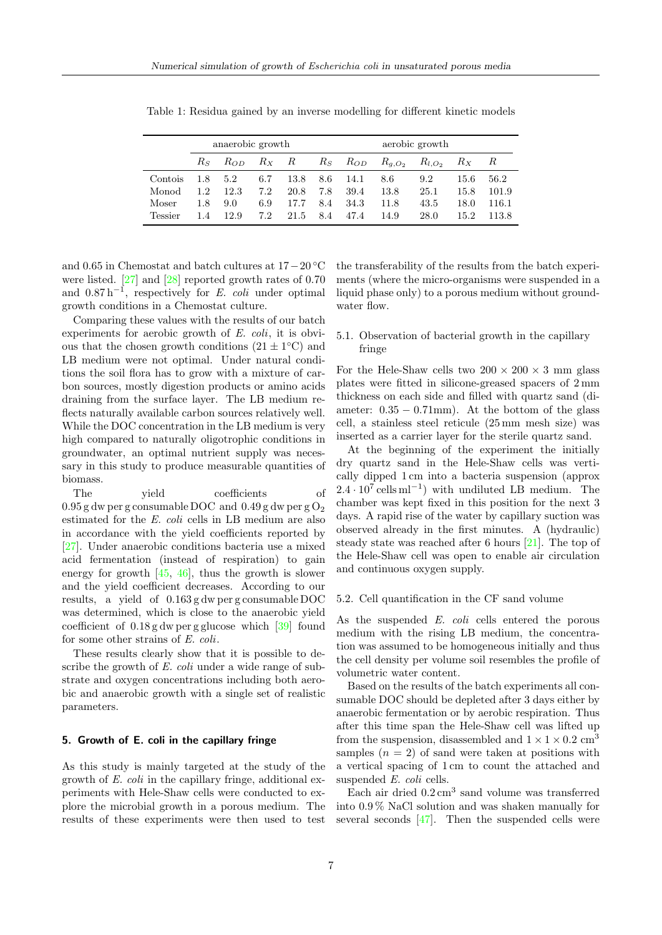|                | anaerobic growth |                    |     |      | aerobic growth |      |                                              |      |      |       |
|----------------|------------------|--------------------|-----|------|----------------|------|----------------------------------------------|------|------|-------|
|                | Rs.              | $R_{OD}$ $R_X$ $R$ |     |      |                |      | $R_S$ $R_{OD}$ $R_{g,O_2}$ $R_{l,O_2}$ $R_X$ |      |      | R     |
| Contois        | 1.8              | 5.2                | 6.7 | 13.8 | 8.6            | 14.1 | 8.6                                          | 9.2  | 15.6 | 56.2  |
| Monod          | 1.2.             | 12.3               | 7.2 | 20.8 | 7.8            | 39.4 | 13.8                                         | 25.1 | 15.8 | 101.9 |
| Moser          | 1.8              | 9.0                | 6.9 | 17.7 | 8.4            | 34.3 | 11.8                                         | 43.5 | 18.0 | 116.1 |
| <b>Tessier</b> | 1.4              | 12.9               | 7.2 | 21.5 | 8.4            | 47.4 | 14.9                                         | 28.0 | 15.2 | 113.8 |

<span id="page-6-0"></span>Table 1: Residua gained by an inverse modelling for different kinetic models

and 0.65 in Chemostat and batch cultures at 17−20 ◦C were listed. [\[27\]](#page-11-16) and [\[28\]](#page-11-17) reported growth rates of 0.70 and  $0.87 h^{-1}$ , respectively for E. coli under optimal growth conditions in a Chemostat culture.

Comparing these values with the results of our batch experiments for aerobic growth of  $E.$  coli, it is obvious that the chosen growth conditions  $(21 \pm 1^{\circ}C)$  and LB medium were not optimal. Under natural conditions the soil flora has to grow with a mixture of carbon sources, mostly digestion products or amino acids draining from the surface layer. The LB medium reflects naturally available carbon sources relatively well. While the DOC concentration in the LB medium is very high compared to naturally oligotrophic conditions in groundwater, an optimal nutrient supply was necessary in this study to produce measurable quantities of biomass.

The vield coefficients of  $0.95$  g dw per g consumable DOC and  $0.49$  g dw per g  $O<sub>2</sub>$ estimated for the E. coli cells in LB medium are also in accordance with the yield coefficients reported by [\[27\]](#page-11-16). Under anaerobic conditions bacteria use a mixed acid fermentation (instead of respiration) to gain energy for growth  $[45, 46]$  $[45, 46]$  $[45, 46]$ , thus the growth is slower and the yield coefficient decreases. According to our results, a yield of 0.163 g dw per g consumable DOC was determined, which is close to the anaerobic yield coefficient of 0.18 g dw per g glucose which [\[39\]](#page-12-9) found for some other strains of E. coli.

These results clearly show that it is possible to describe the growth of E. coli under a wide range of substrate and oxygen concentrations including both aerobic and anaerobic growth with a single set of realistic parameters.

# 5. Growth of E. coli in the capillary fringe

As this study is mainly targeted at the study of the growth of E. coli in the capillary fringe, additional experiments with Hele-Shaw cells were conducted to explore the microbial growth in a porous medium. The results of these experiments were then used to test

the transferability of the results from the batch experiments (where the micro-organisms were suspended in a liquid phase only) to a porous medium without groundwater flow.

# 5.1. Observation of bacterial growth in the capillary fringe

For the Hele-Shaw cells two  $200 \times 200 \times 3$  mm glass plates were fitted in silicone-greased spacers of 2 mm thickness on each side and filled with quartz sand (diameter:  $0.35 - 0.71$ mm). At the bottom of the glass cell, a stainless steel reticule (25 mm mesh size) was inserted as a carrier layer for the sterile quartz sand.

At the beginning of the experiment the initially dry quartz sand in the Hele-Shaw cells was vertically dipped 1 cm into a bacteria suspension (approx  $2.4 \cdot 10^7$  cells ml<sup>-1</sup>) with undiluted LB medium. The chamber was kept fixed in this position for the next 3 days. A rapid rise of the water by capillary suction was observed already in the first minutes. A (hydraulic) steady state was reached after 6 hours [\[21\]](#page-11-10). The top of the Hele-Shaw cell was open to enable air circulation and continuous oxygen supply.

## 5.2. Cell quantification in the CF sand volume

As the suspended E. coli cells entered the porous medium with the rising LB medium, the concentration was assumed to be homogeneous initially and thus the cell density per volume soil resembles the profile of volumetric water content.

Based on the results of the batch experiments all consumable DOC should be depleted after 3 days either by anaerobic fermentation or by aerobic respiration. Thus after this time span the Hele-Shaw cell was lifted up from the suspension, disassembled and  $1 \times 1 \times 0.2$  cm<sup>3</sup> samples  $(n = 2)$  of sand were taken at positions with a vertical spacing of 1 cm to count the attached and suspended E. coli cells.

Each air dried  $0.2 \text{ cm}^3$  sand volume was transferred into 0.9 % NaCl solution and was shaken manually for several seconds [\[47\]](#page-12-17). Then the suspended cells were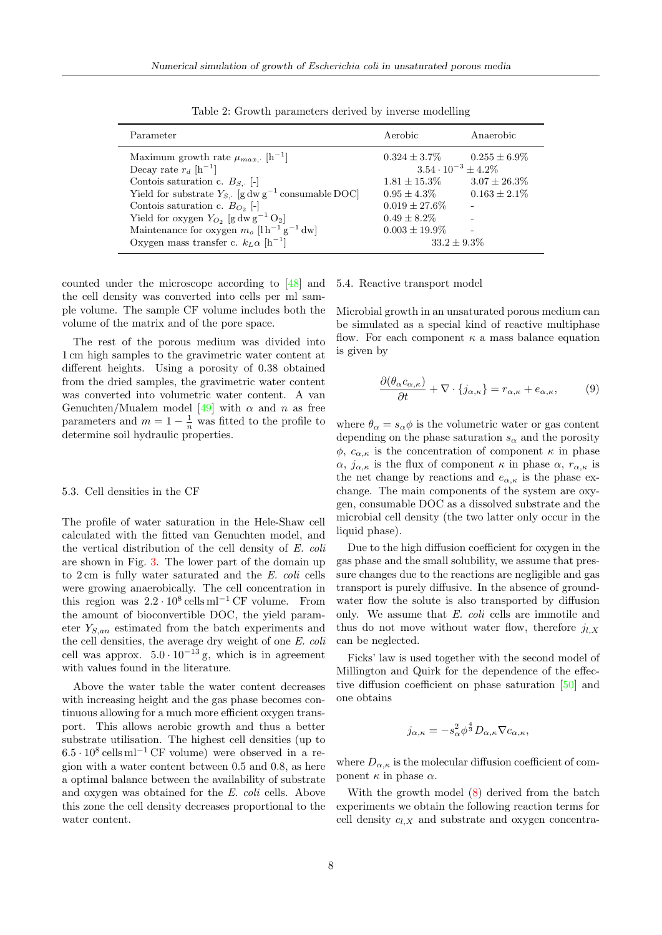<span id="page-7-0"></span>

| Parameter                                                                                   | Aerobic                                             | Anaerobic         |
|---------------------------------------------------------------------------------------------|-----------------------------------------------------|-------------------|
| Maximum growth rate $\mu_{max}$ . [h <sup>-1</sup> ]<br>Decay rate $r_d$ [h <sup>-1</sup> ] | $0.324 \pm 3.7\%$<br>$3.54 \cdot 10^{-3} \pm 4.2\%$ | $0.255 \pm 6.9\%$ |
| Contois saturation c. $B_{S}$ . [-]                                                         | $1.81 \pm 15.3\%$                                   | $3.07 \pm 26.3\%$ |
| Yield for substrate $Y_{S}$ . [g dw g <sup>-1</sup> consumable DOC]                         | $0.95 \pm 4.3\%$                                    | $0.163 \pm 2.1\%$ |
| Contois saturation c. $B_{O_2}$ [-]                                                         | $0.019 \pm 27.6\%$                                  |                   |
| Yield for oxygen $Y_{O_2}$ [g dw g <sup>-1</sup> O <sub>2</sub> ]                           | $0.49 \pm 8.2\%$                                    |                   |
| Maintenance for oxygen $m_o$ [l h <sup>-1</sup> g <sup>-1</sup> dw]                         | $0.003 \pm 19.9\%$                                  |                   |
| Oxygen mass transfer c. $k_L \alpha$ [h <sup>-1</sup> ]                                     | $33.2 \pm 9.3\%$                                    |                   |

Table 2: Growth parameters derived by inverse modelling

counted under the microscope according to [\[48\]](#page-12-18) and the cell density was converted into cells per ml sample volume. The sample CF volume includes both the volume of the matrix and of the pore space.

The rest of the porous medium was divided into 1 cm high samples to the gravimetric water content at different heights. Using a porosity of 0.38 obtained from the dried samples, the gravimetric water content was converted into volumetric water content. A van Genuchten/Mualem model [\[49\]](#page-12-19) with  $\alpha$  and  $n$  as free parameters and  $m = 1 - \frac{1}{n}$  was fitted to the profile to determine soil hydraulic properties.

#### <span id="page-7-2"></span>5.3. Cell densities in the CF

The profile of water saturation in the Hele-Shaw cell calculated with the fitted van Genuchten model, and the vertical distribution of the cell density of E. coli are shown in Fig. [3.](#page-9-0) The lower part of the domain up to 2 cm is fully water saturated and the E. coli cells were growing anaerobically. The cell concentration in this region was  $2.2 \cdot 10^8$  cells ml<sup>-1</sup> CF volume. From the amount of bioconvertible DOC, the yield parameter  $Y_{S,an}$  estimated from the batch experiments and the cell densities, the average dry weight of one E. coli cell was approx.  $5.0 \cdot 10^{-13}$  g, which is in agreement with values found in the literature.

Above the water table the water content decreases with increasing height and the gas phase becomes continuous allowing for a much more efficient oxygen transport. This allows aerobic growth and thus a better substrate utilisation. The highest cell densities (up to  $6.5 \cdot 10^8$  cells ml<sup>-1</sup> CF volume) were observed in a region with a water content between 0.5 and 0.8, as here a optimal balance between the availability of substrate and oxygen was obtained for the E. coli cells. Above this zone the cell density decreases proportional to the water content.

# 5.4. Reactive transport model

Microbial growth in an unsaturated porous medium can be simulated as a special kind of reactive multiphase flow. For each component  $\kappa$  a mass balance equation is given by

<span id="page-7-1"></span>
$$
\frac{\partial(\theta_{\alpha}c_{\alpha,\kappa})}{\partial t} + \nabla \cdot \{j_{\alpha,\kappa}\} = r_{\alpha,\kappa} + e_{\alpha,\kappa},\tag{9}
$$

where  $\theta_{\alpha} = s_{\alpha} \phi$  is the volumetric water or gas content depending on the phase saturation  $s_{\alpha}$  and the porosity  $\phi$ ,  $c_{\alpha,\kappa}$  is the concentration of component  $\kappa$  in phase  $\alpha$ ,  $j_{\alpha,\kappa}$  is the flux of component  $\kappa$  in phase  $\alpha$ ,  $r_{\alpha,\kappa}$  is the net change by reactions and  $e_{\alpha,\kappa}$  is the phase exchange. The main components of the system are oxygen, consumable DOC as a dissolved substrate and the microbial cell density (the two latter only occur in the liquid phase).

Due to the high diffusion coefficient for oxygen in the gas phase and the small solubility, we assume that pressure changes due to the reactions are negligible and gas transport is purely diffusive. In the absence of groundwater flow the solute is also transported by diffusion only. We assume that E. coli cells are immotile and thus do not move without water flow, therefore  $j_{l,X}$ can be neglected.

Ficks' law is used together with the second model of Millington and Quirk for the dependence of the effective diffusion coefficient on phase saturation [\[50\]](#page-12-20) and one obtains

$$
j_{\alpha,\kappa} = -s_{\alpha}^2 \phi^{\frac{4}{3}} D_{\alpha,\kappa} \nabla c_{\alpha,\kappa},
$$

where  $D_{\alpha,\kappa}$  is the molecular diffusion coefficient of component  $κ$  in phase  $α$ .

With the growth model [\(8\)](#page-4-0) derived from the batch experiments we obtain the following reaction terms for cell density  $c_{l,X}$  and substrate and oxygen concentra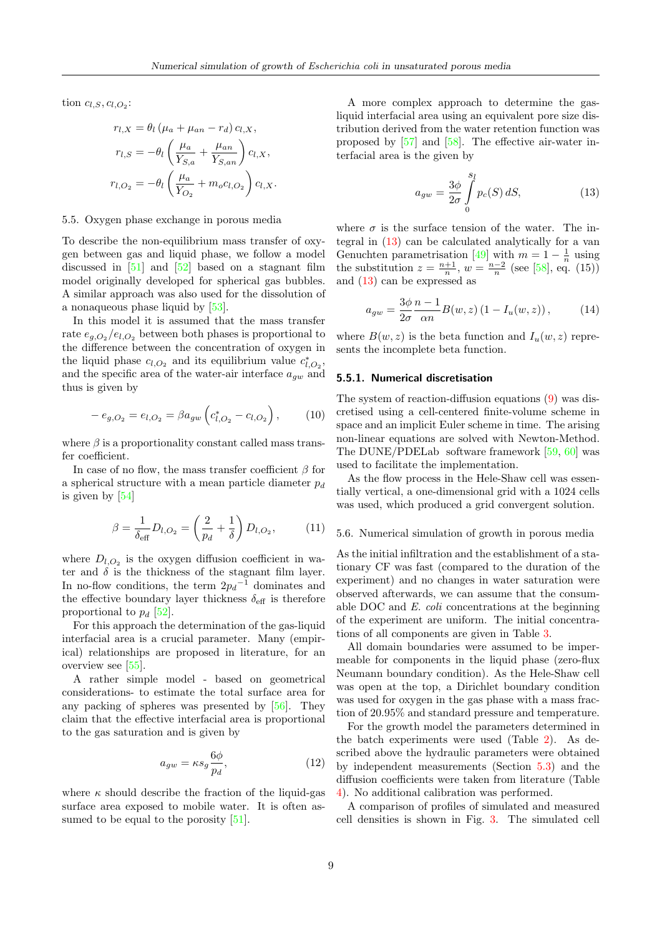tion  $c_{l,S}, c_{l,O_2}$ :

$$
r_{l,X} = \theta_l \left( \mu_a + \mu_{an} - r_d \right) c_{l,X},
$$

$$
r_{l,S} = -\theta_l \left( \frac{\mu_a}{Y_{S,a}} + \frac{\mu_{an}}{Y_{S,an}} \right) c_{l,X},
$$

$$
r_{l,O_2} = -\theta_l \left( \frac{\mu_a}{Y_{O_2}} + m_o c_{l,O_2} \right) c_{l,X}.
$$

#### 5.5. Oxygen phase exchange in porous media

To describe the non-equilibrium mass transfer of oxygen between gas and liquid phase, we follow a model discussed in  $[51]$  and  $[52]$  based on a stagnant film model originally developed for spherical gas bubbles. A similar approach was also used for the dissolution of a nonaqueous phase liquid by [\[53\]](#page-13-0).

In this model it is assumed that the mass transfer rate  $e_{q, O_2}/e_{l, O_2}$  between both phases is proportional to the difference between the concentration of oxygen in the liquid phase  $c_{l,O_2}$  and its equilibrium value  $c_{l,O_2}^*$ , and the specific area of the water-air interface  $a_{gw}$  and thus is given by

$$
-e_{g,O_2}=e_{l,O_2}=\beta a_{gw}\left(c_{l,O_2}^*-c_{l,O_2}\right),\qquad(10)
$$

where  $\beta$  is a proportionality constant called mass transfer coefficient.

In case of no flow, the mass transfer coefficient  $\beta$  for a spherical structure with a mean particle diameter  $p_d$ is given by [\[54\]](#page-13-1)

$$
\beta = \frac{1}{\delta_{\text{eff}}} D_{l,O_2} = \left(\frac{2}{p_d} + \frac{1}{\delta}\right) D_{l,O_2}, \quad (11)
$$

where  $D_{l,O_2}$  is the oxygen diffusion coefficient in water and  $\delta$  is the thickness of the stagnant film layer. In no-flow conditions, the term  $2p_d^{-1}$  dominates and the effective boundary layer thickness  $\delta_{\text{eff}}$  is therefore proportional to  $p_d$  [\[52\]](#page-12-22).

For this approach the determination of the gas-liquid interfacial area is a crucial parameter. Many (empirical) relationships are proposed in literature, for an overview see [\[55\]](#page-13-2).

A rather simple model - based on geometrical considerations- to estimate the total surface area for any packing of spheres was presented by [\[56\]](#page-13-3). They claim that the effective interfacial area is proportional to the gas saturation and is given by

<span id="page-8-2"></span>
$$
a_{gw} = \kappa s_g \frac{6\phi}{p_d},\tag{12}
$$

where  $\kappa$  should describe the fraction of the liquid-gas surface area exposed to mobile water. It is often as-sumed to be equal to the porosity [\[51\]](#page-12-21).

A more complex approach to determine the gasliquid interfacial area using an equivalent pore size distribution derived from the water retention function was proposed by [\[57\]](#page-13-4) and [\[58\]](#page-13-5). The effective air-water interfacial area is the given by

<span id="page-8-0"></span>
$$
a_{gw} = \frac{3\phi}{2\sigma} \int\limits_{0}^{s_l} p_c(S) dS,
$$
 (13)

where  $\sigma$  is the surface tension of the water. The integral in [\(13\)](#page-8-0) can be calculated analytically for a van Genuchten parametrisation [\[49\]](#page-12-19) with  $m = 1 - \frac{1}{n}$  using the substitution  $z = \frac{n+1}{n}$ ,  $w = \frac{n-2}{n}$  (see [\[58\]](#page-13-5), eq. (15)) and [\(13\)](#page-8-0) can be expressed as

<span id="page-8-1"></span>
$$
a_{gw} = \frac{3\phi}{2\sigma} \frac{n-1}{\alpha n} B(w, z) \left(1 - I_u(w, z)\right),\tag{14}
$$

where  $B(w, z)$  is the beta function and  $I_u(w, z)$  represents the incomplete beta function.

#### 5.5.1. Numerical discretisation

The system of reaction-diffusion equations [\(9\)](#page-7-1) was discretised using a cell-centered finite-volume scheme in space and an implicit Euler scheme in time. The arising non-linear equations are solved with Newton-Method. The DUNE/PDELab software framework [\[59,](#page-13-6) [60\]](#page-13-7) was used to facilitate the implementation.

As the flow process in the Hele-Shaw cell was essentially vertical, a one-dimensional grid with a 1024 cells was used, which produced a grid convergent solution.

# 5.6. Numerical simulation of growth in porous media

As the initial infiltration and the establishment of a stationary CF was fast (compared to the duration of the experiment) and no changes in water saturation were observed afterwards, we can assume that the consumable DOC and E. coli concentrations at the beginning of the experiment are uniform. The initial concentrations of all components are given in Table [3.](#page-9-1)

All domain boundaries were assumed to be impermeable for components in the liquid phase (zero-flux Neumann boundary condition). As the Hele-Shaw cell was open at the top, a Dirichlet boundary condition was used for oxygen in the gas phase with a mass fraction of 20.95% and standard pressure and temperature.

For the growth model the parameters determined in the batch experiments were used (Table [2\)](#page-7-0). As described above the hydraulic parameters were obtained by independent measurements (Section [5.3\)](#page-7-2) and the diffusion coefficients were taken from literature (Table [4\)](#page-9-2). No additional calibration was performed.

A comparison of profiles of simulated and measured cell densities is shown in Fig. [3.](#page-9-0) The simulated cell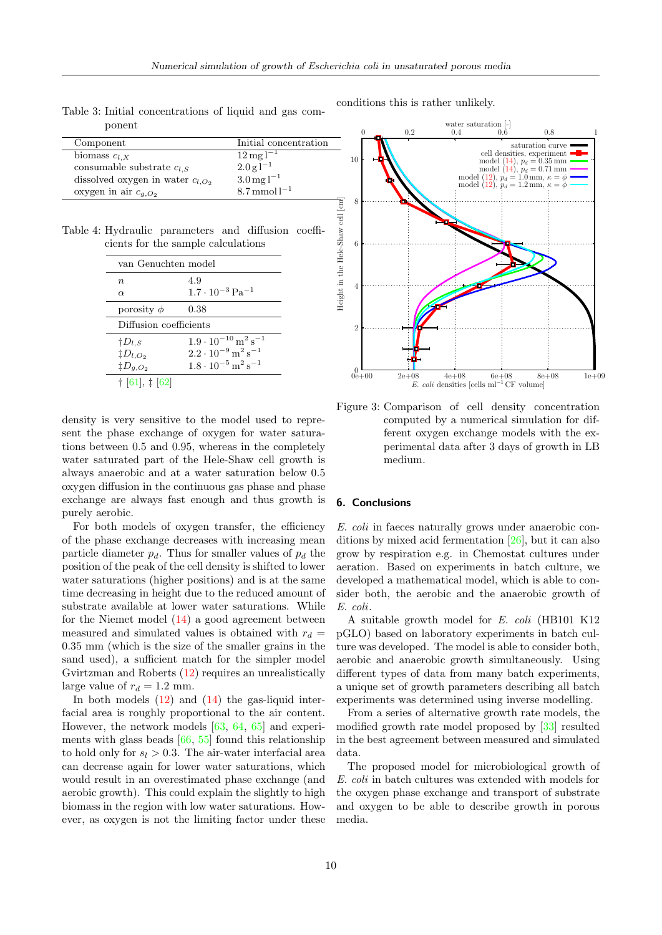<span id="page-9-1"></span>Table 3: Initial concentrations of liquid and gas component

| Component                              | Initial concentration                           |
|----------------------------------------|-------------------------------------------------|
| biomass $c_{l,X}$                      | $12 \,\mathrm{mg}\,\mathrm{l}^{-1}$             |
| consumable substrate $c_{l,S}$         | $2.0 \,\mathrm{g} \,\mathrm{\overline{1}^{-1}}$ |
| dissolved oxygen in water $c_{l, O_2}$ | $3.0 \,\mathrm{mg}\,\mathrm{l}^{-1}$            |
| oxygen in air $c_{g,O_2}$              | $8.7 \text{ mmol}1^{-1}$                        |

<span id="page-9-2"></span>Table 4: Hydraulic parameters and diffusion coefficients for the sample calculations

| van Genuchten model    |                                                    |  |
|------------------------|----------------------------------------------------|--|
| $\,n$                  | 4.9                                                |  |
| $\alpha$               | $1.7 \cdot 10^{-3}$ Pa <sup>-1</sup>               |  |
| porosity $\phi$        | 0.38                                               |  |
| Diffusion coefficients |                                                    |  |
| $\natural D_{l,S}$     | $1.9\cdot10^{-10}\,\mathrm{m^2\,s^{-1}}$           |  |
| $\ddagger D_{l,O_2}$   | $2.2 \cdot 10^{-9}$ m <sup>2</sup> s <sup>-1</sup> |  |
| $\ddagger D_{g,O_2}$   | $1.8\cdot10^{-5}\,\mathrm{m^2\,s^{-1}}$            |  |
| $\pm$ [61], $\pm$ [62] |                                                    |  |

density is very sensitive to the model used to represent the phase exchange of oxygen for water saturations between 0.5 and 0.95, whereas in the completely water saturated part of the Hele-Shaw cell growth is always anaerobic and at a water saturation below 0.5 oxygen diffusion in the continuous gas phase and phase exchange are always fast enough and thus growth is purely aerobic.

For both models of oxygen transfer, the efficiency of the phase exchange decreases with increasing mean particle diameter  $p_d$ . Thus for smaller values of  $p_d$  the position of the peak of the cell density is shifted to lower water saturations (higher positions) and is at the same time decreasing in height due to the reduced amount of substrate available at lower water saturations. While for the Niemet model [\(14\)](#page-8-1) a good agreement between measured and simulated values is obtained with  $r_d =$ 0.35 mm (which is the size of the smaller grains in the sand used), a sufficient match for the simpler model Gvirtzman and Roberts [\(12\)](#page-8-2) requires an unrealistically large value of  $r_d = 1.2$  mm.

In both models  $(12)$  and  $(14)$  the gas-liquid interfacial area is roughly proportional to the air content. However, the network models [\[63,](#page-13-10) [64,](#page-13-11) [65\]](#page-13-12) and experiments with glass beads  $[66, 55]$  $[66, 55]$  $[66, 55]$  found this relationship to hold only for  $s_l > 0.3$ . The air-water interfacial area can decrease again for lower water saturations, which would result in an overestimated phase exchange (and aerobic growth). This could explain the slightly to high biomass in the region with low water saturations. However, as oxygen is not the limiting factor under these

conditions this is rather unlikely.

<span id="page-9-0"></span>

Figure 3: Comparison of cell density concentration computed by a numerical simulation for different oxygen exchange models with the experimental data after 3 days of growth in LB medium.

# 6. Conclusions

E. coli in faeces naturally grows under anaerobic conditions by mixed acid fermentation [\[26\]](#page-11-15), but it can also grow by respiration e.g. in Chemostat cultures under aeration. Based on experiments in batch culture, we developed a mathematical model, which is able to consider both, the aerobic and the anaerobic growth of E. coli.

A suitable growth model for E. coli (HB101 K12 pGLO) based on laboratory experiments in batch culture was developed. The model is able to consider both, aerobic and anaerobic growth simultaneously. Using different types of data from many batch experiments, a unique set of growth parameters describing all batch experiments was determined using inverse modelling.

From a series of alternative growth rate models, the modified growth rate model proposed by [\[33\]](#page-12-3) resulted in the best agreement between measured and simulated data.

The proposed model for microbiological growth of E. coli in batch cultures was extended with models for the oxygen phase exchange and transport of substrate and oxygen to be able to describe growth in porous media.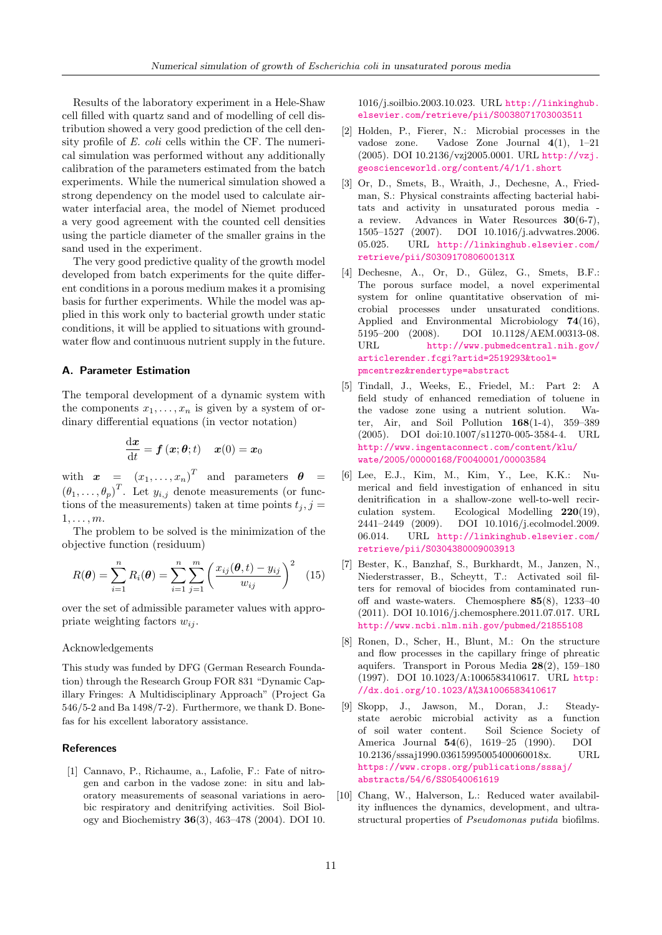Results of the laboratory experiment in a Hele-Shaw cell filled with quartz sand and of modelling of cell distribution showed a very good prediction of the cell density profile of E. coli cells within the CF. The numerical simulation was performed without any additionally calibration of the parameters estimated from the batch experiments. While the numerical simulation showed a strong dependency on the model used to calculate airwater interfacial area, the model of Niemet produced a very good agreement with the counted cell densities using the particle diameter of the smaller grains in the sand used in the experiment.

The very good predictive quality of the growth model developed from batch experiments for the quite different conditions in a porous medium makes it a promising basis for further experiments. While the model was applied in this work only to bacterial growth under static conditions, it will be applied to situations with groundwater flow and continuous nutrient supply in the future.

# <span id="page-10-10"></span>A. Parameter Estimation

The temporal development of a dynamic system with the components  $x_1, \ldots, x_n$  is given by a system of ordinary differential equations (in vector notation)

$$
\frac{\mathrm{d}\boldsymbol{x}}{\mathrm{d}t} = \boldsymbol{f}\left(\boldsymbol{x};\boldsymbol{\theta};t\right) \quad \boldsymbol{x}(0) = \boldsymbol{x}_0
$$

with  $\boldsymbol{x} = (x_1, \ldots, x_n)^T$  and parameters  $\boldsymbol{\theta} =$  $(\theta_1,\ldots,\theta_p)^T$ . Let  $y_{i,j}$  denote measurements (or functions of the measurements) taken at time points  $t_i, j =$  $1, \ldots, m$ .

The problem to be solved is the minimization of the objective function (residuum)

<span id="page-10-11"></span>
$$
R(\theta) = \sum_{i=1}^{n} R_i(\theta) = \sum_{i=1}^{n} \sum_{j=1}^{m} \left( \frac{x_{ij}(\theta, t) - y_{ij}}{w_{ij}} \right)^2
$$
 (15)

over the set of admissible parameter values with appropriate weighting factors  $w_{ij}$ .

# Acknowledgements

This study was funded by DFG (German Research Foundation) through the Research Group FOR 831 "Dynamic Capillary Fringes: A Multidisciplinary Approach" (Project Ga 546/5-2 and Ba 1498/7-2). Furthermore, we thank D. Bonefas for his excellent laboratory assistance.

#### References

<span id="page-10-0"></span>[1] Cannavo, P., Richaume, a., Lafolie, F.: Fate of nitrogen and carbon in the vadose zone: in situ and laboratory measurements of seasonal variations in aerobic respiratory and denitrifying activities. Soil Biology and Biochemistry 36(3), 463–478 (2004). DOI 10. 1016/j.soilbio.2003.10.023. URL [http://linkinghub.](http://linkinghub.elsevier.com/retrieve/pii/S0038071703003511) [elsevier.com/retrieve/pii/S0038071703003511](http://linkinghub.elsevier.com/retrieve/pii/S0038071703003511)

- <span id="page-10-1"></span>[2] Holden, P., Fierer, N.: Microbial processes in the vadose zone. Vadose Zone Journal 4(1), 1–21 (2005). DOI 10.2136/vzj2005.0001. URL [http://vzj.](http://vzj.geoscienceworld.org/content/4/1/1.short) [geoscienceworld.org/content/4/1/1.short](http://vzj.geoscienceworld.org/content/4/1/1.short)
- <span id="page-10-2"></span>[3] Or, D., Smets, B., Wraith, J., Dechesne, A., Friedman, S.: Physical constraints affecting bacterial habitats and activity in unsaturated porous media a review. Advances in Water Resources 30(6-7), 1505–1527 (2007). DOI 10.1016/j.advwatres.2006. 05.025. URL [http://linkinghub.elsevier.com/](http://linkinghub.elsevier.com/retrieve/pii/S030917080600131X) [retrieve/pii/S030917080600131X](http://linkinghub.elsevier.com/retrieve/pii/S030917080600131X)
- <span id="page-10-3"></span>[4] Dechesne, A., Or, D., Gülez, G., Smets, B.F.: The porous surface model, a novel experimental system for online quantitative observation of microbial processes under unsaturated conditions. Applied and Environmental Microbiology 74(16), 5195–200 (2008). DOI 10.1128/AEM.00313-08. URL [http://www.pubmedcentral.nih.gov/](http://www.pubmedcentral.nih.gov/articlerender.fcgi?artid=2519293&tool=pmcentrez&rendertype=abstract) [articlerender.fcgi?artid=2519293&tool=](http://www.pubmedcentral.nih.gov/articlerender.fcgi?artid=2519293&tool=pmcentrez&rendertype=abstract) [pmcentrez&rendertype=abstract](http://www.pubmedcentral.nih.gov/articlerender.fcgi?artid=2519293&tool=pmcentrez&rendertype=abstract)
- <span id="page-10-4"></span>[5] Tindall, J., Weeks, E., Friedel, M.: Part 2: A field study of enhanced remediation of toluene in the vadose zone using a nutrient solution. Water, Air, and Soil Pollution 168(1-4), 359–389 (2005). DOI doi:10.1007/s11270-005-3584-4. URL [http://www.ingentaconnect.com/content/klu/](http://www.ingentaconnect.com/content/klu/wate/2005/00000168/F0040001/00003584) [wate/2005/00000168/F0040001/00003584](http://www.ingentaconnect.com/content/klu/wate/2005/00000168/F0040001/00003584)
- <span id="page-10-5"></span>[6] Lee, E.J., Kim, M., Kim, Y., Lee, K.K.: Numerical and field investigation of enhanced in situ denitrification in a shallow-zone well-to-well recirculation system. Ecological Modelling 220(19), 2441–2449 (2009). DOI 10.1016/j.ecolmodel.2009. 06.014. URL [http://linkinghub.elsevier.com/](http://linkinghub.elsevier.com/retrieve/pii/S0304380009003913) [retrieve/pii/S0304380009003913](http://linkinghub.elsevier.com/retrieve/pii/S0304380009003913)
- <span id="page-10-6"></span>[7] Bester, K., Banzhaf, S., Burkhardt, M., Janzen, N., Niederstrasser, B., Scheytt, T.: Activated soil filters for removal of biocides from contaminated runoff and waste-waters. Chemosphere 85(8), 1233–40 (2011). DOI 10.1016/j.chemosphere.2011.07.017. URL <http://www.ncbi.nlm.nih.gov/pubmed/21855108>
- <span id="page-10-7"></span>[8] Ronen, D., Scher, H., Blunt, M.: On the structure and flow processes in the capillary fringe of phreatic aquifers. Transport in Porous Media 28(2), 159–180 (1997). DOI 10.1023/A:1006583410617. URL [http:](http://dx.doi.org/10.1023/A%3A1006583410617) [//dx.doi.org/10.1023/A%3A1006583410617](http://dx.doi.org/10.1023/A%3A1006583410617)
- <span id="page-10-8"></span>[9] Skopp, J., Jawson, M., Doran, J.: Steadystate aerobic microbial activity as a function of soil water content. Soil Science Society of America Journal 54(6), 1619–25 (1990). DOI 10.2136/sssaj1990.03615995005400060018x. URL [https://www.crops.org/publications/sssaj/](https://www.crops.org/publications/sssaj/abstracts/54/6/SS0540061619) [abstracts/54/6/SS0540061619](https://www.crops.org/publications/sssaj/abstracts/54/6/SS0540061619)
- <span id="page-10-9"></span>[10] Chang, W., Halverson, L.: Reduced water availability influences the dynamics, development, and ultrastructural properties of Pseudomonas putida biofilms.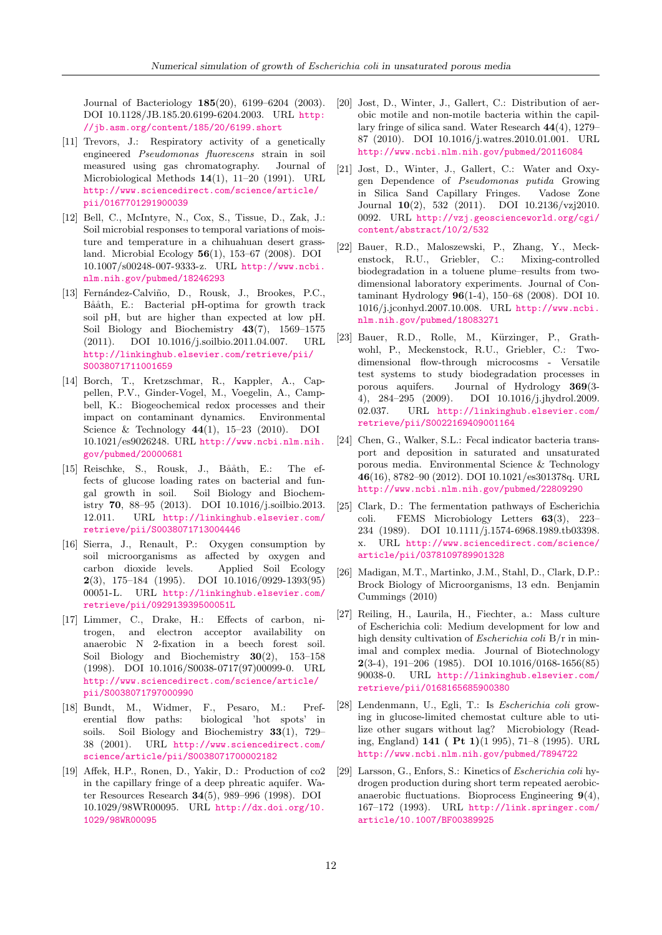Journal of Bacteriology 185(20), 6199–6204 (2003). DOI 10.1128/JB.185.20.6199-6204.2003. URL [http:](http://jb.asm.org/content/185/20/6199.short) [//jb.asm.org/content/185/20/6199.short](http://jb.asm.org/content/185/20/6199.short)

- <span id="page-11-0"></span>[11] Trevors, J.: Respiratory activity of a genetically engineered Pseudomonas fluorescens strain in soil measured using gas chromatography. Journal of Microbiological Methods 14(1), 11–20 (1991). URL [http://www.sciencedirect.com/science/article/](http://www.sciencedirect.com/science/article/pii/0167701291900039) [pii/0167701291900039](http://www.sciencedirect.com/science/article/pii/0167701291900039)
- <span id="page-11-1"></span>[12] Bell, C., McIntyre, N., Cox, S., Tissue, D., Zak, J.: Soil microbial responses to temporal variations of moisture and temperature in a chihuahuan desert grassland. Microbial Ecology 56(1), 153–67 (2008). DOI 10.1007/s00248-007-9333-z. URL [http://www.ncbi.](http://www.ncbi.nlm.nih.gov/pubmed/18246293) [nlm.nih.gov/pubmed/18246293](http://www.ncbi.nlm.nih.gov/pubmed/18246293)
- <span id="page-11-2"></span>[13] Fernández-Calviño, D., Rousk, J., Brookes, P.C., Bååth, E.: Bacterial pH-optima for growth track soil pH, but are higher than expected at low pH. Soil Biology and Biochemistry  $43(7)$ , 1569–1575 (2011). DOI 10.1016/j.soilbio.2011.04.007. URL [http://linkinghub.elsevier.com/retrieve/pii/](http://linkinghub.elsevier.com/retrieve/pii/S0038071711001659) [S0038071711001659](http://linkinghub.elsevier.com/retrieve/pii/S0038071711001659)
- <span id="page-11-3"></span>[14] Borch, T., Kretzschmar, R., Kappler, A., Cappellen, P.V., Ginder-Vogel, M., Voegelin, A., Campbell, K.: Biogeochemical redox processes and their impact on contaminant dynamics. Environmental Science & Technology 44(1), 15–23 (2010). DOI 10.1021/es9026248. URL [http://www.ncbi.nlm.nih.](http://www.ncbi.nlm.nih.gov/pubmed/20000681) [gov/pubmed/20000681](http://www.ncbi.nlm.nih.gov/pubmed/20000681)
- <span id="page-11-4"></span>[15] Reischke, S., Rousk, J., Bååth, E.: The effects of glucose loading rates on bacterial and fungal growth in soil. Soil Biology and Biochemistry 70, 88–95 (2013). DOI 10.1016/j.soilbio.2013. 12.011. URL [http://linkinghub.elsevier.com/](http://linkinghub.elsevier.com/retrieve/pii/S0038071713004446) [retrieve/pii/S0038071713004446](http://linkinghub.elsevier.com/retrieve/pii/S0038071713004446)
- <span id="page-11-5"></span>[16] Sierra, J., Renault, P.: Oxygen consumption by soil microorganisms as affected by oxygen and carbon dioxide levels. Applied Soil Ecology  $2(3)$ , 175–184 (1995). DOI 10.1016/0929-1393(95) 00051-L. URL [http://linkinghub.elsevier.com/](http://linkinghub.elsevier.com/retrieve/pii/092913939500051L) [retrieve/pii/092913939500051L](http://linkinghub.elsevier.com/retrieve/pii/092913939500051L)
- <span id="page-11-6"></span>[17] Limmer, C., Drake, H.: Effects of carbon, nitrogen, and electron acceptor availability on anaerobic N 2-fixation in a beech forest soil. Soil Biology and Biochemistry  $30(2)$ ,  $153-158$ (1998). DOI 10.1016/S0038-0717(97)00099-0. URL [http://www.sciencedirect.com/science/article/](http://www.sciencedirect.com/science/article/pii/S0038071797000990) [pii/S0038071797000990](http://www.sciencedirect.com/science/article/pii/S0038071797000990)
- <span id="page-11-7"></span>[18] Bundt, M., Widmer, F., Pesaro, M.: Preferential flow paths: biological 'hot spots' in soils. Soil Biology and Biochemistry 33(1), 729– 38 (2001). URL [http://www.sciencedirect.com/](http://www.sciencedirect.com/science/article/pii/S0038071700002182) [science/article/pii/S0038071700002182](http://www.sciencedirect.com/science/article/pii/S0038071700002182)
- <span id="page-11-8"></span>[19] Affek, H.P., Ronen, D., Yakir, D.: Production of co2 in the capillary fringe of a deep phreatic aquifer. Water Resources Research 34(5), 989–996 (1998). DOI 10.1029/98WR00095. URL [http://dx.doi.org/10.](http://dx.doi.org/10.1029/98WR00095) [1029/98WR00095](http://dx.doi.org/10.1029/98WR00095)
- <span id="page-11-9"></span>[20] Jost, D., Winter, J., Gallert, C.: Distribution of aerobic motile and non-motile bacteria within the capillary fringe of silica sand. Water Research 44(4), 1279– 87 (2010). DOI 10.1016/j.watres.2010.01.001. URL <http://www.ncbi.nlm.nih.gov/pubmed/20116084>
- <span id="page-11-10"></span>[21] Jost, D., Winter, J., Gallert, C.: Water and Oxygen Dependence of Pseudomonas putida Growing in Silica Sand Capillary Fringes. Vadose Zone Journal 10(2), 532 (2011). DOI 10.2136/vzj2010. 0092. URL [http://vzj.geoscienceworld.org/cgi/](http://vzj.geoscienceworld.org/cgi/content/abstract/10/2/532) [content/abstract/10/2/532](http://vzj.geoscienceworld.org/cgi/content/abstract/10/2/532)
- <span id="page-11-11"></span>[22] Bauer, R.D., Maloszewski, P., Zhang, Y., Meckenstock, R.U., Griebler, C.: Mixing-controlled biodegradation in a toluene plume–results from twodimensional laboratory experiments. Journal of Contaminant Hydrology 96(1-4), 150–68 (2008). DOI 10. 1016/j.jconhyd.2007.10.008. URL [http://www.ncbi.](http://www.ncbi.nlm.nih.gov/pubmed/18083271) [nlm.nih.gov/pubmed/18083271](http://www.ncbi.nlm.nih.gov/pubmed/18083271)
- <span id="page-11-12"></span>[23] Bauer, R.D., Rolle, M., Kürzinger, P., Grathwohl, P., Meckenstock, R.U., Griebler, C.: Twodimensional flow-through microcosms - Versatile test systems to study biodegradation processes in porous aquifers. Journal of Hydrology 369(3- 4), 284–295 (2009). DOI 10.1016/j.jhydrol.2009. 02.037. URL [http://linkinghub.elsevier.com/](http://linkinghub.elsevier.com/retrieve/pii/S0022169409001164) [retrieve/pii/S0022169409001164](http://linkinghub.elsevier.com/retrieve/pii/S0022169409001164)
- <span id="page-11-13"></span>[24] Chen, G., Walker, S.L.: Fecal indicator bacteria transport and deposition in saturated and unsaturated porous media. Environmental Science & Technology 46(16), 8782–90 (2012). DOI 10.1021/es301378q. URL <http://www.ncbi.nlm.nih.gov/pubmed/22809290>
- <span id="page-11-14"></span>[25] Clark, D.: The fermentation pathways of Escherichia coli. FEMS Microbiology Letters 63(3), 223– 234 (1989). DOI 10.1111/j.1574-6968.1989.tb03398. x. URL [http://www.sciencedirect.com/science/](http://www.sciencedirect.com/science/article/pii/0378109789901328) [article/pii/0378109789901328](http://www.sciencedirect.com/science/article/pii/0378109789901328)
- <span id="page-11-15"></span>[26] Madigan, M.T., Martinko, J.M., Stahl, D., Clark, D.P.: Brock Biology of Microorganisms, 13 edn. Benjamin Cummings (2010)
- <span id="page-11-16"></span>[27] Reiling, H., Laurila, H., Fiechter, a.: Mass culture of Escherichia coli: Medium development for low and high density cultivation of Escherichia coli B/r in minimal and complex media. Journal of Biotechnology  $2(3-4)$ , 191-206 (1985). DOI 10.1016/0168-1656(85) 90038-0. URL [http://linkinghub.elsevier.com/](http://linkinghub.elsevier.com/retrieve/pii/0168165685900380) [retrieve/pii/0168165685900380](http://linkinghub.elsevier.com/retrieve/pii/0168165685900380)
- <span id="page-11-17"></span>[28] Lendenmann, U., Egli, T.: Is Escherichia coli growing in glucose-limited chemostat culture able to utilize other sugars without lag? Microbiology (Reading, England)  $141$  ( Pt  $1$ )(1 995), 71–8 (1995). URL <http://www.ncbi.nlm.nih.gov/pubmed/7894722>
- <span id="page-11-18"></span>[29] Larsson, G., Enfors, S.: Kinetics of Escherichia coli hydrogen production during short term repeated aerobicanaerobic fluctuations. Bioprocess Engineering 9(4), 167–172 (1993). URL [http://link.springer.com/](http://link.springer.com/article/10.1007/BF00389925) [article/10.1007/BF00389925](http://link.springer.com/article/10.1007/BF00389925)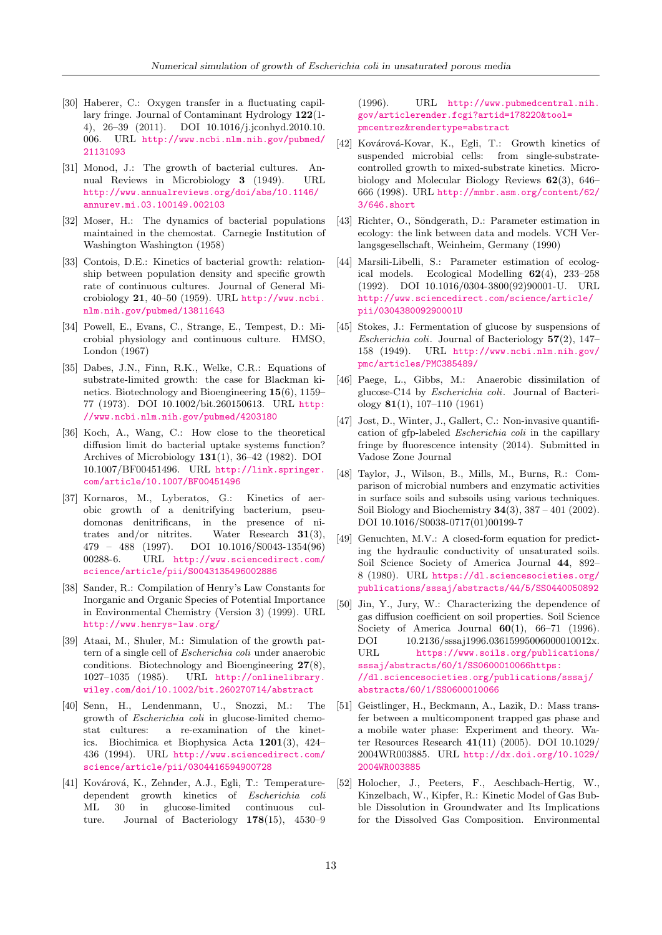- <span id="page-12-0"></span>[30] Haberer, C.: Oxygen transfer in a fluctuating capillary fringe. Journal of Contaminant Hydrology 122(1- 4), 26–39 (2011). DOI 10.1016/j.jconhyd.2010.10. 006. URL [http://www.ncbi.nlm.nih.gov/pubmed/](http://www.ncbi.nlm.nih.gov/pubmed/21131093) [21131093](http://www.ncbi.nlm.nih.gov/pubmed/21131093)
- <span id="page-12-1"></span>[31] Monod, J.: The growth of bacterial cultures. Annual Reviews in Microbiology 3 (1949). URL [http://www.annualreviews.org/doi/abs/10.1146/](http://www.annualreviews.org/doi/abs/10.1146/annurev.mi.03.100149.002103) [annurev.mi.03.100149.002103](http://www.annualreviews.org/doi/abs/10.1146/annurev.mi.03.100149.002103)
- <span id="page-12-2"></span>[32] Moser, H.: The dynamics of bacterial populations maintained in the chemostat. Carnegie Institution of Washington Washington (1958)
- <span id="page-12-3"></span>[33] Contois, D.E.: Kinetics of bacterial growth: relationship between population density and specific growth rate of continuous cultures. Journal of General Microbiology 21, 40–50 (1959). URL [http://www.ncbi.](http://www.ncbi.nlm.nih.gov/pubmed/13811643) [nlm.nih.gov/pubmed/13811643](http://www.ncbi.nlm.nih.gov/pubmed/13811643)
- <span id="page-12-4"></span>[34] Powell, E., Evans, C., Strange, E., Tempest, D.: Microbial physiology and continuous culture. HMSO, London (1967)
- <span id="page-12-5"></span>[35] Dabes, J.N., Finn, R.K., Welke, C.R.: Equations of substrate-limited growth: the case for Blackman kinetics. Biotechnology and Bioengineering 15(6), 1159– 77 (1973). DOI 10.1002/bit.260150613. URL [http:](http://www.ncbi.nlm.nih.gov/pubmed/4203180) [//www.ncbi.nlm.nih.gov/pubmed/4203180](http://www.ncbi.nlm.nih.gov/pubmed/4203180)
- <span id="page-12-6"></span>[36] Koch, A., Wang, C.: How close to the theoretical diffusion limit do bacterial uptake systems function? Archives of Microbiology  $131(1)$ , 36-42 (1982). DOI 10.1007/BF00451496. URL [http://link.springer.](http://link.springer.com/article/10.1007/BF00451496) [com/article/10.1007/BF00451496](http://link.springer.com/article/10.1007/BF00451496)
- <span id="page-12-7"></span>[37] Kornaros, M., Lyberatos, G.: Kinetics of aerobic growth of a denitrifying bacterium, pseudomonas denitrificans, in the presence of nitrates and/or nitrites. Water Research  $31(3)$ , 479 – 488 (1997). DOI 10.1016/S0043-1354(96) 00288-6. URL [http://www.sciencedirect.com/](http://www.sciencedirect.com/science/article/pii/S0043135496002886) [science/article/pii/S0043135496002886](http://www.sciencedirect.com/science/article/pii/S0043135496002886)
- <span id="page-12-8"></span>[38] Sander, R.: Compilation of Henry's Law Constants for Inorganic and Organic Species of Potential Importance in Environmental Chemistry (Version 3) (1999). URL <http://www.henrys-law.org/>
- <span id="page-12-9"></span>[39] Ataai, M., Shuler, M.: Simulation of the growth pattern of a single cell of Escherichia coli under anaerobic conditions. Biotechnology and Bioengineering 27(8), 1027–1035 (1985). URL [http://onlinelibrary.](http://onlinelibrary.wiley.com/doi/10.1002/bit.260270714/abstract) [wiley.com/doi/10.1002/bit.260270714/abstract](http://onlinelibrary.wiley.com/doi/10.1002/bit.260270714/abstract)
- <span id="page-12-10"></span>[40] Senn, H., Lendenmann, U., Snozzi, M.: The growth of Escherichia coli in glucose-limited chemostat cultures: a re-examination of the kinetics. Biochimica et Biophysica Acta 1201(3), 424– 436 (1994). URL [http://www.sciencedirect.com/](http://www.sciencedirect.com/science/article/pii/0304416594900728) [science/article/pii/0304416594900728](http://www.sciencedirect.com/science/article/pii/0304416594900728)
- <span id="page-12-11"></span>[41] Kovárová, K., Zehnder, A.J., Egli, T.: Temperaturedependent growth kinetics of Escherichia coli ML 30 in glucose-limited continuous culture. Journal of Bacteriology  $178(15)$ ,  $4530-9$

(1996). URL [http://www.pubmedcentral.nih.](http://www.pubmedcentral.nih.gov/articlerender.fcgi?artid=178220&tool=pmcentrez&rendertype=abstract) [gov/articlerender.fcgi?artid=178220&tool=](http://www.pubmedcentral.nih.gov/articlerender.fcgi?artid=178220&tool=pmcentrez&rendertype=abstract) [pmcentrez&rendertype=abstract](http://www.pubmedcentral.nih.gov/articlerender.fcgi?artid=178220&tool=pmcentrez&rendertype=abstract)

- <span id="page-12-12"></span>[42] Kovárová-Kovar, K., Egli, T.: Growth kinetics of suspended microbial cells: from single-substratecontrolled growth to mixed-substrate kinetics. Microbiology and Molecular Biology Reviews 62(3), 646– 666 (1998). URL [http://mmbr.asm.org/content/62/](http://mmbr.asm.org/content/62/3/646.short) [3/646.short](http://mmbr.asm.org/content/62/3/646.short)
- <span id="page-12-13"></span>[43] Richter, O., Söndgerath, D.: Parameter estimation in ecology: the link between data and models. VCH Verlangsgesellschaft, Weinheim, Germany (1990)
- <span id="page-12-14"></span>[44] Marsili-Libelli, S.: Parameter estimation of ecological models. Ecological Modelling 62(4), 233–258 (1992). DOI 10.1016/0304-3800(92)90001-U. URL [http://www.sciencedirect.com/science/article/](http://www.sciencedirect.com/science/article/pii/030438009290001U) [pii/030438009290001U](http://www.sciencedirect.com/science/article/pii/030438009290001U)
- <span id="page-12-15"></span>[45] Stokes, J.: Fermentation of glucose by suspensions of Escherichia coli. Journal of Bacteriology  $57(2)$ , 147– 158 (1949). URL [http://www.ncbi.nlm.nih.gov/](http://www.ncbi.nlm.nih.gov/pmc/articles/PMC385489/) [pmc/articles/PMC385489/](http://www.ncbi.nlm.nih.gov/pmc/articles/PMC385489/)
- <span id="page-12-16"></span>[46] Paege, L., Gibbs, M.: Anaerobic dissimilation of glucose-C14 by Escherichia coli. Journal of Bacteriology 81(1), 107–110 (1961)
- <span id="page-12-17"></span>[47] Jost, D., Winter, J., Gallert, C.: Non-invasive quantification of gfp-labeled Escherichia coli in the capillary fringe by fluorescence intensity (2014). Submitted in Vadose Zone Journal
- <span id="page-12-18"></span>[48] Taylor, J., Wilson, B., Mills, M., Burns, R.: Comparison of microbial numbers and enzymatic activities in surface soils and subsoils using various techniques. Soil Biology and Biochemistry  $34(3)$ ,  $387 - 401$  (2002). DOI 10.1016/S0038-0717(01)00199-7
- <span id="page-12-19"></span>[49] Genuchten, M.V.: A closed-form equation for predicting the hydraulic conductivity of unsaturated soils. Soil Science Society of America Journal 44, 892– 8 (1980). URL [https://dl.sciencesocieties.org/](https://dl.sciencesocieties.org/publications/sssaj/abstracts/44/5/SS0440050892) [publications/sssaj/abstracts/44/5/SS0440050892](https://dl.sciencesocieties.org/publications/sssaj/abstracts/44/5/SS0440050892)
- <span id="page-12-20"></span>[50] Jin, Y., Jury, W.: Characterizing the dependence of gas diffusion coefficient on soil properties. Soil Science Society of America Journal  $60(1)$ ,  $66-71$  (1996). DOI 10.2136/sssaj1996.03615995006000010012x. URL [https://www.soils.org/publications/](https://www.soils.org/publications/sssaj/abstracts/60/1/SS0600010066 https://dl.sciencesocieties.org/publications/sssaj/abstracts/60/1/SS0600010066) [sssaj/abstracts/60/1/SS0600010066https:](https://www.soils.org/publications/sssaj/abstracts/60/1/SS0600010066 https://dl.sciencesocieties.org/publications/sssaj/abstracts/60/1/SS0600010066) [//dl.sciencesocieties.org/publications/sssaj/](https://www.soils.org/publications/sssaj/abstracts/60/1/SS0600010066 https://dl.sciencesocieties.org/publications/sssaj/abstracts/60/1/SS0600010066) [abstracts/60/1/SS0600010066](https://www.soils.org/publications/sssaj/abstracts/60/1/SS0600010066 https://dl.sciencesocieties.org/publications/sssaj/abstracts/60/1/SS0600010066)
- <span id="page-12-21"></span>[51] Geistlinger, H., Beckmann, A., Lazik, D.: Mass transfer between a multicomponent trapped gas phase and a mobile water phase: Experiment and theory. Water Resources Research 41(11) (2005). DOI 10.1029/ 2004WR003885. URL [http://dx.doi.org/10.1029/](http://dx.doi.org/10.1029/2004WR003885) [2004WR003885](http://dx.doi.org/10.1029/2004WR003885)
- <span id="page-12-22"></span>[52] Holocher, J., Peeters, F., Aeschbach-Hertig, W., Kinzelbach, W., Kipfer, R.: Kinetic Model of Gas Bubble Dissolution in Groundwater and Its Implications for the Dissolved Gas Composition. Environmental